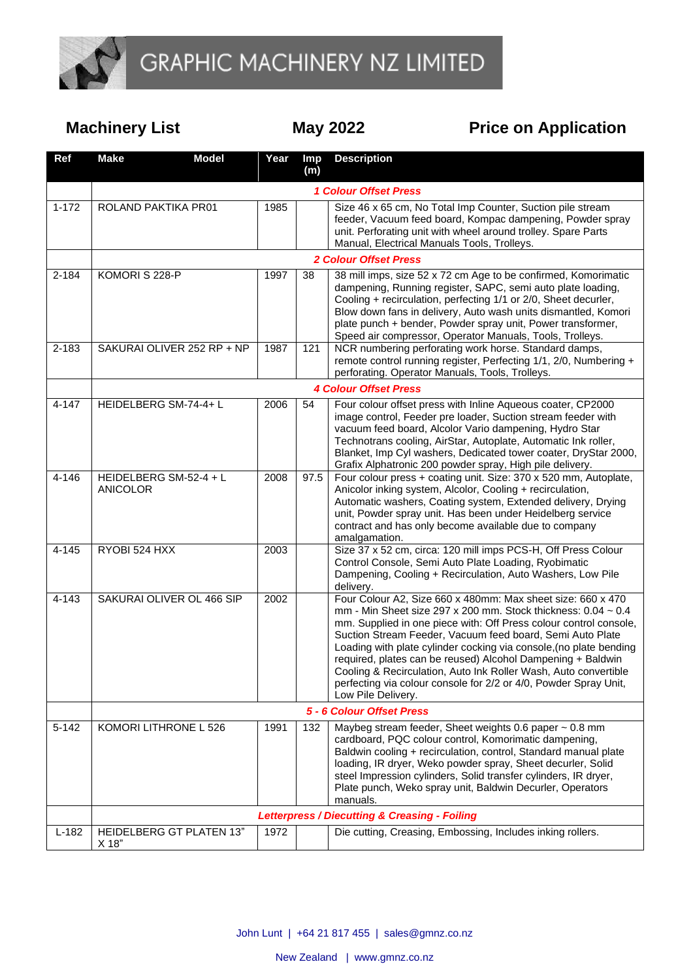

**Machinery List May 2022 May Price on Application** 

| Ref       | <b>Make</b>                                              | <b>Model</b> | Year | <b>Imp</b><br>(m) | <b>Description</b>                                                                                                                                                                                                                                                                                                                                                                                                                                                                                                                                                    |  |  |  |
|-----------|----------------------------------------------------------|--------------|------|-------------------|-----------------------------------------------------------------------------------------------------------------------------------------------------------------------------------------------------------------------------------------------------------------------------------------------------------------------------------------------------------------------------------------------------------------------------------------------------------------------------------------------------------------------------------------------------------------------|--|--|--|
|           |                                                          |              |      |                   | <b>1 Colour Offset Press</b>                                                                                                                                                                                                                                                                                                                                                                                                                                                                                                                                          |  |  |  |
| $1 - 172$ | ROLAND PAKTIKA PR01                                      |              | 1985 |                   | Size 46 x 65 cm, No Total Imp Counter, Suction pile stream<br>feeder, Vacuum feed board, Kompac dampening, Powder spray<br>unit. Perforating unit with wheel around trolley. Spare Parts<br>Manual, Electrical Manuals Tools, Trolleys.                                                                                                                                                                                                                                                                                                                               |  |  |  |
|           | <b>2 Colour Offset Press</b>                             |              |      |                   |                                                                                                                                                                                                                                                                                                                                                                                                                                                                                                                                                                       |  |  |  |
| 2-184     | KOMORI S 228-P                                           |              | 1997 | 38                | 38 mill imps, size 52 x 72 cm Age to be confirmed, Komorimatic<br>dampening, Running register, SAPC, semi auto plate loading,<br>Cooling + recirculation, perfecting 1/1 or 2/0, Sheet decurler,<br>Blow down fans in delivery, Auto wash units dismantled, Komori<br>plate punch + bender, Powder spray unit, Power transformer,<br>Speed air compressor, Operator Manuals, Tools, Trolleys.                                                                                                                                                                         |  |  |  |
| 2-183     | SAKURAI OLIVER 252 RP + NP                               |              | 1987 | 121               | NCR numbering perforating work horse. Standard damps,<br>remote control running register, Perfecting 1/1, 2/0, Numbering +<br>perforating. Operator Manuals, Tools, Trolleys.                                                                                                                                                                                                                                                                                                                                                                                         |  |  |  |
|           | <b>4 Colour Offset Press</b>                             |              |      |                   |                                                                                                                                                                                                                                                                                                                                                                                                                                                                                                                                                                       |  |  |  |
| 4-147     | HEIDELBERG SM-74-4+ L                                    |              | 2006 | 54                | Four colour offset press with Inline Aqueous coater, CP2000<br>image control, Feeder pre loader, Suction stream feeder with<br>vacuum feed board, Alcolor Vario dampening, Hydro Star<br>Technotrans cooling, AirStar, Autoplate, Automatic Ink roller,<br>Blanket, Imp Cyl washers, Dedicated tower coater, DryStar 2000,<br>Grafix Alphatronic 200 powder spray, High pile delivery.                                                                                                                                                                                |  |  |  |
| 4-146     | HEIDELBERG SM-52-4 + L<br><b>ANICOLOR</b>                |              | 2008 | 97.5              | Four colour press + coating unit. Size: 370 x 520 mm, Autoplate,<br>Anicolor inking system, Alcolor, Cooling + recirculation,<br>Automatic washers, Coating system, Extended delivery, Drying<br>unit, Powder spray unit. Has been under Heidelberg service<br>contract and has only become available due to company<br>amalgamation.                                                                                                                                                                                                                                 |  |  |  |
| 4-145     | RYOBI 524 HXX                                            |              | 2003 |                   | Size 37 x 52 cm, circa: 120 mill imps PCS-H, Off Press Colour<br>Control Console, Semi Auto Plate Loading, Ryobimatic<br>Dampening, Cooling + Recirculation, Auto Washers, Low Pile<br>delivery.                                                                                                                                                                                                                                                                                                                                                                      |  |  |  |
| 4-143     | SAKURAI OLIVER OL 466 SIP                                |              | 2002 |                   | Four Colour A2, Size 660 x 480mm: Max sheet size: 660 x 470<br>mm - Min Sheet size 297 x 200 mm. Stock thickness: $0.04 \sim 0.4$<br>mm. Supplied in one piece with: Off Press colour control console,<br>Suction Stream Feeder, Vacuum feed board, Semi Auto Plate<br>Loading with plate cylinder cocking via console, (no plate bending<br>required, plates can be reused) Alcohol Dampening + Baldwin<br>Cooling & Recirculation, Auto Ink Roller Wash, Auto convertible<br>perfecting via colour console for 2/2 or 4/0, Powder Spray Unit,<br>Low Pile Delivery. |  |  |  |
|           | 5 - 6 Colour Offset Press                                |              |      |                   |                                                                                                                                                                                                                                                                                                                                                                                                                                                                                                                                                                       |  |  |  |
| $5 - 142$ | KOMORI LITHRONE L 526                                    |              | 1991 | 132               | Maybeg stream feeder, Sheet weights 0.6 paper ~ 0.8 mm<br>cardboard, PQC colour control, Komorimatic dampening,<br>Baldwin cooling + recirculation, control, Standard manual plate<br>loading, IR dryer, Weko powder spray, Sheet decurler, Solid<br>steel Impression cylinders, Solid transfer cylinders, IR dryer,<br>Plate punch, Weko spray unit, Baldwin Decurler, Operators<br>manuals.                                                                                                                                                                         |  |  |  |
|           | <b>Letterpress / Diecutting &amp; Creasing - Foiling</b> |              |      |                   |                                                                                                                                                                                                                                                                                                                                                                                                                                                                                                                                                                       |  |  |  |
| $L-182$   | HEIDELBERG GT PLATEN 13"<br>X 18"                        |              | 1972 |                   | Die cutting, Creasing, Embossing, Includes inking rollers.                                                                                                                                                                                                                                                                                                                                                                                                                                                                                                            |  |  |  |